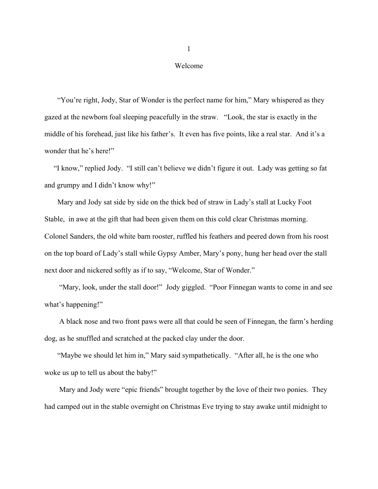## Welcome

 "You're right, Jody, Star of Wonder is the perfect name for him," Mary whispered as they gazed at the newborn foal sleeping peacefully in the straw. "Look, the star is exactly in the middle of his forehead, just like his father's. It even has five points, like a real star. And it's a wonder that he's here!"

 "I know," replied Jody. "I still can't believe we didn't figure it out. Lady was getting so fat and grumpy and I didn't know why!"

 Mary and Jody sat side by side on the thick bed of straw in Lady's stall at Lucky Foot Stable, in awe at the gift that had been given them on this cold clear Christmas morning. Colonel Sanders, the old white barn rooster, ruffled his feathers and peered down from his roost on the top board of Lady's stall while Gypsy Amber, Mary's pony, hung her head over the stall next door and nickered softly as if to say, "Welcome, Star of Wonder."

 "Mary, look, under the stall door!" Jody giggled. "Poor Finnegan wants to come in and see what's happening!"

 A black nose and two front paws were all that could be seen of Finnegan, the farm's herding dog, as he snuffled and scratched at the packed clay under the door.

 "Maybe we should let him in," Mary said sympathetically. "After all, he is the one who woke us up to tell us about the baby!"

 Mary and Jody were "epic friends" brought together by the love of their two ponies. They had camped out in the stable overnight on Christmas Eve trying to stay awake until midnight to

1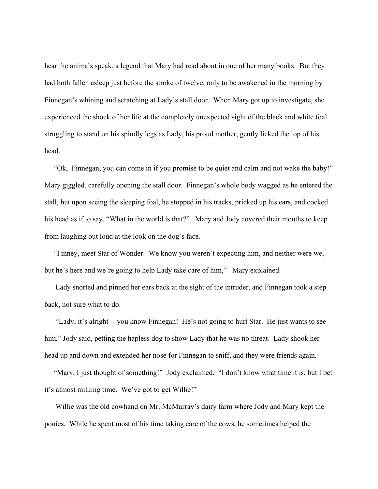hear the animals speak, a legend that Mary had read about in one of her many books. But they had both fallen asleep just before the stroke of twelve, only to be awakened in the morning by Finnegan's whining and scratching at Lady's stall door. When Mary got up to investigate, she experienced the shock of her life at the completely unexpected sight of the black and white foal struggling to stand on his spindly legs as Lady, his proud mother, gently licked the top of his head.

 "Ok, Finnegan, you can come in if you promise to be quiet and calm and not wake the baby!" Mary giggled, carefully opening the stall door. Finnegan's whole body wagged as he entered the stall, but upon seeing the sleeping foal, he stopped in his tracks, pricked up his ears, and cocked his head as if to say, "What in the world is that?" Mary and Jody covered their mouths to keep from laughing out loud at the look on the dog's face.

 "Finney, meet Star of Wonder. We know you weren't expecting him, and neither were we, but he's here and we're going to help Lady take care of him," Mary explained.

 Lady snorted and pinned her ears back at the sight of the intruder, and Finnegan took a step back, not sure what to do.

 "Lady, it's alright -- you know Finnegan! He's not going to hurt Star. He just wants to see him," Jody said, petting the hapless dog to show Lady that he was no threat. Lady shook her head up and down and extended her nose for Finnegan to sniff, and they were friends again.

 "Mary, I just thought of something!" Jody exclaimed. "I don't know what time it is, but I bet it's almost milking time. We've got to get Willie!"

 Willie was the old cowhand on Mr. McMurray's dairy farm where Jody and Mary kept the ponies. While he spent most of his time taking care of the cows, he sometimes helped the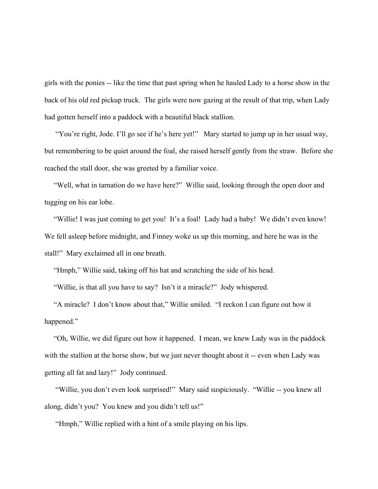girls with the ponies -- like the time that past spring when he hauled Lady to a horse show in the back of his old red pickup truck. The girls were now gazing at the result of that trip, when Lady had gotten herself into a paddock with a beautiful black stallion.

 "You're right, Jode. I'll go see if he's here yet!" Mary started to jump up in her usual way, but remembering to be quiet around the foal, she raised herself gently from the straw. Before she reached the stall door, she was greeted by a familiar voice.

 "Well, what in tarnation do we have here?" Willie said, looking through the open door and tugging on his ear lobe.

 "Willie! I was just coming to get you! It's a foal! Lady had a baby! We didn't even know! We fell asleep before midnight, and Finney woke us up this morning, and here he was in the stall!" Mary exclaimed all in one breath.

"Hmph," Willie said, taking off his hat and scratching the side of his head.

"Willie, is that all you have to say? Isn't it a miracle?" Jody whispered.

 "A miracle? I don't know about that," Willie smiled. "I reckon I can figure out how it happened."

 "Oh, Willie, we did figure out how it happened. I mean, we knew Lady was in the paddock with the stallion at the horse show, but we just never thought about it -- even when Lady was getting all fat and lazy!" Jody continued.

 "Willie, you don't even look surprised!" Mary said suspiciously. "Willie -- you knew all along, didn't you? You knew and you didn't tell us!"

"Hmph," Willie replied with a hint of a smile playing on his lips.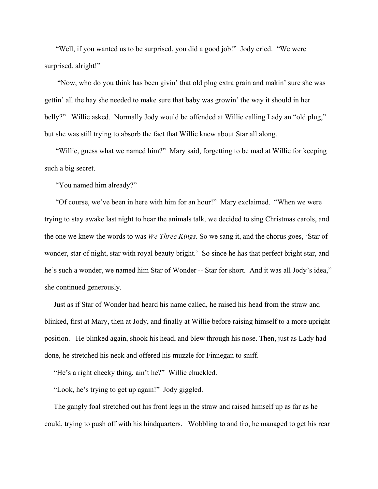"Well, if you wanted us to be surprised, you did a good job!" Jody cried. "We were surprised, alright!"

 "Now, who do you think has been givin' that old plug extra grain and makin' sure she was gettin' all the hay she needed to make sure that baby was growin' the way it should in her belly?" Willie asked. Normally Jody would be offended at Willie calling Lady an "old plug," but she was still trying to absorb the fact that Willie knew about Star all along.

 "Willie, guess what we named him?" Mary said, forgetting to be mad at Willie for keeping such a big secret.

"You named him already?"

 "Of course, we've been in here with him for an hour!" Mary exclaimed. "When we were trying to stay awake last night to hear the animals talk, we decided to sing Christmas carols, and the one we knew the words to was We Three Kings. So we sang it, and the chorus goes, 'Star of wonder, star of night, star with royal beauty bright.' So since he has that perfect bright star, and he's such a wonder, we named him Star of Wonder -- Star for short. And it was all Jody's idea," she continued generously.

 Just as if Star of Wonder had heard his name called, he raised his head from the straw and blinked, first at Mary, then at Jody, and finally at Willie before raising himself to a more upright position. He blinked again, shook his head, and blew through his nose. Then, just as Lady had done, he stretched his neck and offered his muzzle for Finnegan to sniff.

"He's a right cheeky thing, ain't he?" Willie chuckled.

"Look, he's trying to get up again!" Jody giggled.

 The gangly foal stretched out his front legs in the straw and raised himself up as far as he could, trying to push off with his hindquarters. Wobbling to and fro, he managed to get his rear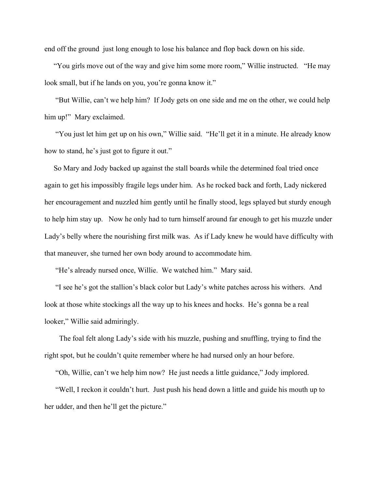end off the ground just long enough to lose his balance and flop back down on his side.

 "You girls move out of the way and give him some more room," Willie instructed. "He may look small, but if he lands on you, you're gonna know it."

 "But Willie, can't we help him? If Jody gets on one side and me on the other, we could help him up!" Mary exclaimed.

 "You just let him get up on his own," Willie said. "He'll get it in a minute. He already know how to stand, he's just got to figure it out."

 So Mary and Jody backed up against the stall boards while the determined foal tried once again to get his impossibly fragile legs under him. As he rocked back and forth, Lady nickered her encouragement and nuzzled him gently until he finally stood, legs splayed but sturdy enough to help him stay up. Now he only had to turn himself around far enough to get his muzzle under Lady's belly where the nourishing first milk was. As if Lady knew he would have difficulty with that maneuver, she turned her own body around to accommodate him.

"He's already nursed once, Willie. We watched him." Mary said.

 "I see he's got the stallion's black color but Lady's white patches across his withers. And look at those white stockings all the way up to his knees and hocks. He's gonna be a real looker," Willie said admiringly.

 The foal felt along Lady's side with his muzzle, pushing and snuffling, trying to find the right spot, but he couldn't quite remember where he had nursed only an hour before.

"Oh, Willie, can't we help him now? He just needs a little guidance," Jody implored.

 "Well, I reckon it couldn't hurt. Just push his head down a little and guide his mouth up to her udder, and then he'll get the picture."